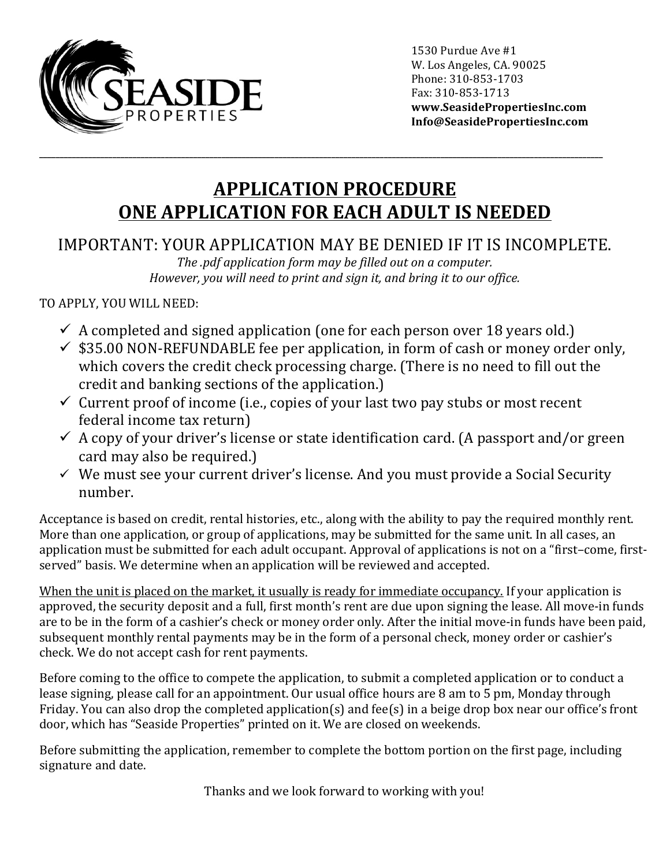

1530 Purdue Ave #1 W. Los Angeles, CA. 90025 Phone: 310-853-1703 Fax: 310-853-1713 **www.SeasidePropertiesInc.com Info@SeasidePropertiesInc.com**

## **APPLICATION PROCEDURE ONE APPLICATION FOR EACH ADULT IS NEEDED**

**\_\_\_\_\_\_\_\_\_\_\_\_\_\_\_\_\_\_\_\_\_\_\_\_\_\_\_\_\_\_\_\_\_\_\_\_\_\_\_\_\_\_\_\_\_\_\_\_\_\_\_\_\_\_\_\_\_\_\_\_\_\_\_\_\_\_\_\_\_\_\_\_\_\_\_\_\_\_\_\_\_\_\_\_\_\_\_\_\_\_\_\_\_\_\_\_\_\_\_\_\_\_\_\_\_\_\_\_\_\_\_\_\_\_\_\_\_\_\_\_\_\_\_\_\_\_\_\_\_\_\_\_\_\_\_\_\_\_\_**

## IMPORTANT: YOUR APPLICATION MAY BE DENIED IF IT IS INCOMPLETE.

*The .pdf application form may be filled out on a computer. However, you will need to print and sign it, and bring it to our office.* 

## TO APPLY, YOU WILL NEED:

- $\checkmark$  A completed and signed application (one for each person over 18 years old.)
- $\checkmark$  \$35.00 NON-REFUNDABLE fee per application, in form of cash or money order only, which covers the credit check processing charge. (There is no need to fill out the credit and banking sections of the application.)
- $\checkmark$  Current proof of income (i.e., copies of your last two pay stubs or most recent federal income tax return)
- $\checkmark$  A copy of your driver's license or state identification card. (A passport and/or green card may also be required.)
- $\checkmark$  We must see your current driver's license. And you must provide a Social Security number.

Acceptance is based on credit, rental histories, etc., along with the ability to pay the required monthly rent. More than one application, or group of applications, may be submitted for the same unit. In all cases, an application must be submitted for each adult occupant. Approval of applications is not on a "first-come, firstserved" basis. We determine when an application will be reviewed and accepted.

When the unit is placed on the market, it usually is ready for immediate occupancy. If your application is approved, the security deposit and a full, first month's rent are due upon signing the lease. All move-in funds are to be in the form of a cashier's check or money order only. After the initial move-in funds have been paid, subsequent monthly rental payments may be in the form of a personal check, money order or cashier's check. We do not accept cash for rent payments.

Before coming to the office to compete the application, to submit a completed application or to conduct a lease signing, please call for an appointment. Our usual office hours are 8 am to 5 pm, Monday through Friday. You can also drop the completed application(s) and fee(s) in a beige drop box near our office's front door, which has "Seaside Properties" printed on it. We are closed on weekends.

Before submitting the application, remember to complete the bottom portion on the first page, including signature and date.

Thanks and we look forward to working with you!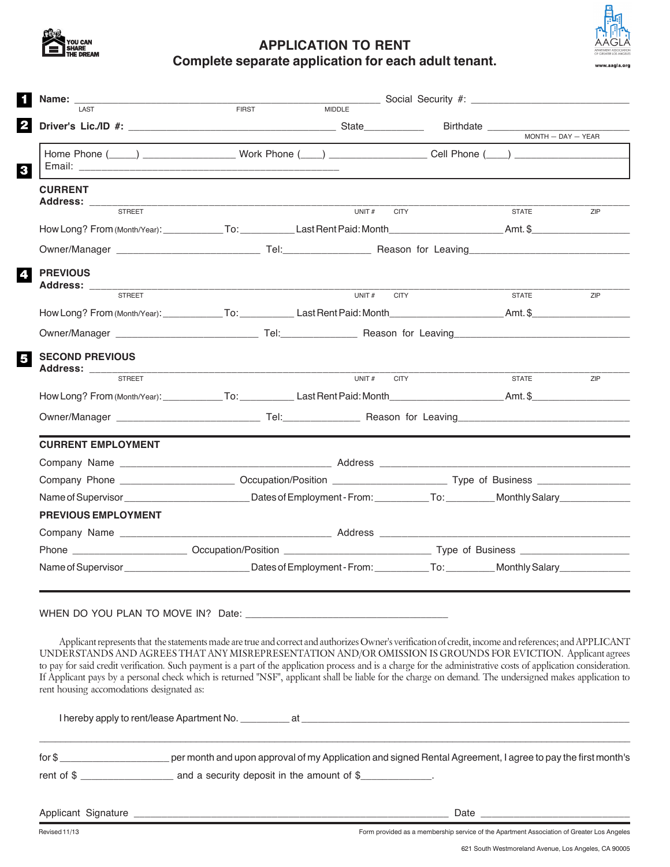

## **APPLICATION TO RENT Complete separate application for each adult tenant.**

| <b>Name:</b> $\frac{1}{\sqrt{1.051}}$                                                                                                                                                                | FIRST | MIDDLE Social Security #:                                                                                                                              |  |                      |     |  |
|------------------------------------------------------------------------------------------------------------------------------------------------------------------------------------------------------|-------|--------------------------------------------------------------------------------------------------------------------------------------------------------|--|----------------------|-----|--|
|                                                                                                                                                                                                      |       |                                                                                                                                                        |  |                      |     |  |
|                                                                                                                                                                                                      |       |                                                                                                                                                        |  | $MONTH - DAY - YEAR$ |     |  |
| Home Phone (____) ______________________Work Phone (___) _____________________Cell Phone (___) _______________                                                                                       |       |                                                                                                                                                        |  |                      |     |  |
| <b>CURRENT</b>                                                                                                                                                                                       |       |                                                                                                                                                        |  |                      |     |  |
| <b>STREET</b>                                                                                                                                                                                        |       | UNIT#<br><b>CITY</b>                                                                                                                                   |  | <b>STATE</b>         | ZIP |  |
|                                                                                                                                                                                                      |       |                                                                                                                                                        |  |                      |     |  |
|                                                                                                                                                                                                      |       |                                                                                                                                                        |  |                      |     |  |
| <b>PREVIOUS</b><br>Address: ___________                                                                                                                                                              |       |                                                                                                                                                        |  |                      |     |  |
| <b>STREET</b>                                                                                                                                                                                        |       | UNIT#<br><b>CITY</b>                                                                                                                                   |  | <b>STATE</b>         | ZIP |  |
|                                                                                                                                                                                                      |       |                                                                                                                                                        |  |                      |     |  |
|                                                                                                                                                                                                      |       |                                                                                                                                                        |  |                      |     |  |
| <b>SECOND PREVIOUS</b>                                                                                                                                                                               |       |                                                                                                                                                        |  |                      |     |  |
|                                                                                                                                                                                                      |       | <b>CITY</b>                                                                                                                                            |  | <b>STATE</b>         | ZIP |  |
|                                                                                                                                                                                                      |       |                                                                                                                                                        |  |                      |     |  |
|                                                                                                                                                                                                      |       |                                                                                                                                                        |  |                      |     |  |
| <b>CURRENT EMPLOYMENT</b>                                                                                                                                                                            |       |                                                                                                                                                        |  |                      |     |  |
|                                                                                                                                                                                                      |       |                                                                                                                                                        |  |                      |     |  |
|                                                                                                                                                                                                      |       |                                                                                                                                                        |  |                      |     |  |
|                                                                                                                                                                                                      |       |                                                                                                                                                        |  |                      |     |  |
| PREVIOUS EMPLOYMENT                                                                                                                                                                                  |       |                                                                                                                                                        |  |                      |     |  |
|                                                                                                                                                                                                      |       |                                                                                                                                                        |  |                      |     |  |
|                                                                                                                                                                                                      |       |                                                                                                                                                        |  |                      |     |  |
|                                                                                                                                                                                                      |       |                                                                                                                                                        |  |                      |     |  |
|                                                                                                                                                                                                      |       |                                                                                                                                                        |  |                      |     |  |
|                                                                                                                                                                                                      |       |                                                                                                                                                        |  |                      |     |  |
|                                                                                                                                                                                                      |       |                                                                                                                                                        |  |                      |     |  |
| UNDERSTANDS AND AGREES THAT ANY MISREPRESENTATION AND/OR OMISSION IS GROUNDS FOR EVICTION. Applicant agrees                                                                                          |       | Applicant represents that the statements made are true and correct and authorizes Owner's verification of credit, income and references; and APPLICANT |  |                      |     |  |
| to pay for said credit verification. Such payment is a part of the application process and is a charge for the administrative costs of application consideration.                                    |       |                                                                                                                                                        |  |                      |     |  |
| If Applicant pays by a personal check which is returned "NSF", applicant shall be liable for the charge on demand. The undersigned makes application to<br>rent housing accomodations designated as: |       |                                                                                                                                                        |  |                      |     |  |
|                                                                                                                                                                                                      |       |                                                                                                                                                        |  |                      |     |  |
|                                                                                                                                                                                                      |       |                                                                                                                                                        |  |                      |     |  |